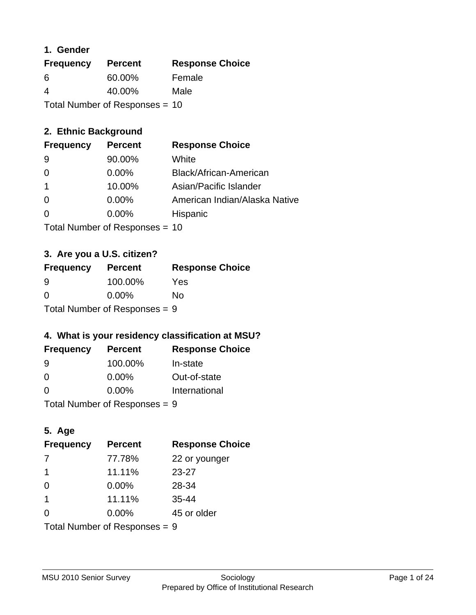### **1. Gender**

| <b>Frequency</b> | <b>Percent</b>                 | <b>Response Choice</b> |
|------------------|--------------------------------|------------------------|
| 6                | 60.00%                         | Female                 |
| 4                | 40.00%                         | Male                   |
|                  | Total Number of Responses = 10 |                        |

## **2. Ethnic Background**

| <b>Frequency</b> | <b>Percent</b> | <b>Response Choice</b>        |
|------------------|----------------|-------------------------------|
| 9                | 90.00%         | White                         |
| 0                | $0.00\%$       | Black/African-American        |
|                  | 10.00%         | Asian/Pacific Islander        |
| $\Omega$         | $0.00\%$       | American Indian/Alaska Native |
|                  | 0.00%          | Hispanic                      |
|                  |                |                               |

Total Number of Responses = 10

# **3. Are you a U.S. citizen?**

| <b>Frequency</b>                | <b>Percent</b> | <b>Response Choice</b> |
|---------------------------------|----------------|------------------------|
| -9                              | 100.00%        | Yes                    |
| $\Omega$                        | $0.00\%$       | No                     |
| Total Number of Responses $= 9$ |                |                        |

# **4. What is your residency classification at MSU?**

| <b>Frequency</b> | <b>Percent</b> | <b>Response Choice</b> |
|------------------|----------------|------------------------|
| -9               | 100.00%        | In-state               |
| 0                | $0.00\%$       | Out-of-state           |
| $\Omega$         | $0.00\%$       | International          |
|                  |                |                        |

Total Number of Responses = 9

# **5. Age**

| <b>Frequency</b>              | <b>Percent</b> | <b>Response Choice</b> |
|-------------------------------|----------------|------------------------|
| 7                             | 77.78%         | 22 or younger          |
| 1                             | 11.11%         | $23 - 27$              |
| $\Omega$                      | 0.00%          | 28-34                  |
| $\mathbf 1$                   | 11.11%         | $35 - 44$              |
| $\Omega$                      | $0.00\%$       | 45 or older            |
| Total Number of Responses = 9 |                |                        |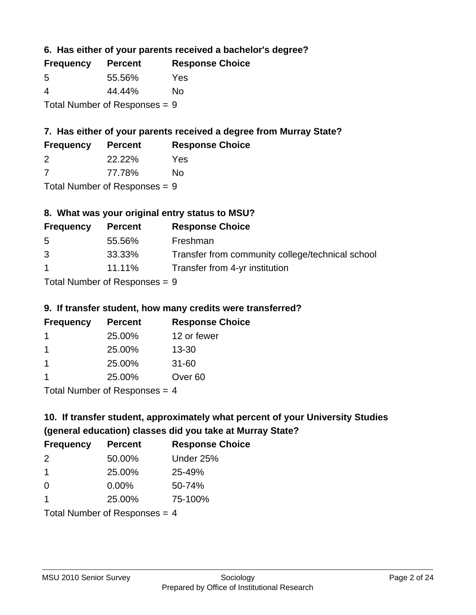**6. Has either of your parents received a bachelor's degree?**

| <b>Frequency</b> | <b>Percent</b>                  | <b>Response Choice</b> |
|------------------|---------------------------------|------------------------|
| .5               | 55.56%                          | Yes                    |
| 4                | 44.44%                          | Nο                     |
|                  | Total Number of Responses = $9$ |                        |

# **7. Has either of your parents received a degree from Murray State?**

| <b>Frequency</b> | <b>Percent</b> | <b>Response Choice</b> |
|------------------|----------------|------------------------|
|                  | 22.22%         | Yes                    |

7 77.78% No

Total Number of Responses = 9

# **8. What was your original entry status to MSU?**

| <b>Frequency</b> | <b>Percent</b> | <b>Response Choice</b>                           |
|------------------|----------------|--------------------------------------------------|
| 5                | 55.56%         | Freshman                                         |
| 3                | 33.33%         | Transfer from community college/technical school |
| $\overline{1}$   | $11.11\%$      | Transfer from 4-yr institution                   |
|                  |                |                                                  |

Total Number of Responses = 9

### **9. If transfer student, how many credits were transferred?**

| <b>Frequency</b> | <b>Percent</b>             | <b>Response Choice</b> |
|------------------|----------------------------|------------------------|
|                  | 25.00%                     | 12 or fewer            |
|                  | 25.00%                     | $13 - 30$              |
| $\mathbf 1$      | 25.00%                     | $31 - 60$              |
|                  | 25.00%                     | Over <sub>60</sub>     |
|                  | Total Number of Deepersoon |                        |

Total Number of Responses = 4

# **10. If transfer student, approximately what percent of your University Studies (general education) classes did you take at Murray State?**

| <b>Frequency</b>                | <b>Percent</b> | <b>Response Choice</b> |
|---------------------------------|----------------|------------------------|
| $\mathcal{P}$                   | 50.00%         | Under 25%              |
| -1                              | 25.00%         | 25-49%                 |
| $\Omega$                        | 0.00%          | 50-74%                 |
| 1                               | 25.00%         | 75-100%                |
| Total Number of Responses $=$ 4 |                |                        |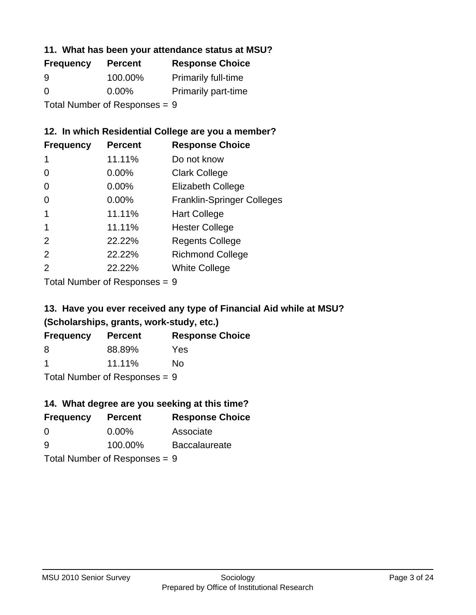### **11. What has been your attendance status at MSU?**

| <b>Frequency</b>              | <b>Percent</b> | <b>Response Choice</b>     |
|-------------------------------|----------------|----------------------------|
| 9                             | 100.00%        | <b>Primarily full-time</b> |
| $\Omega$                      | $0.00\%$       | <b>Primarily part-time</b> |
| Total Number of Responses = 9 |                |                            |

### **12. In which Residential College are you a member?**

| <b>Frequency</b> | <b>Percent</b> | <b>Response Choice</b>            |
|------------------|----------------|-----------------------------------|
| 1                | 11.11%         | Do not know                       |
| 0                | $0.00\%$       | <b>Clark College</b>              |
| 0                | 0.00%          | <b>Elizabeth College</b>          |
| 0                | 0.00%          | <b>Franklin-Springer Colleges</b> |
| 1                | 11.11%         | <b>Hart College</b>               |
| 1                | 11.11%         | <b>Hester College</b>             |
| 2                | 22.22%         | <b>Regents College</b>            |
| 2                | 22.22%         | <b>Richmond College</b>           |
| 2                | 22.22%         | <b>White College</b>              |

Total Number of Responses = 9

### **13. Have you ever received any type of Financial Aid while at MSU? (Scholarships, grants, work-study, etc.)**

| <b>Frequency</b> | <b>Percent</b>              | <b>Response Choice</b> |
|------------------|-----------------------------|------------------------|
| 8                | 88.89%                      | Yes                    |
| -1               | 11.11%                      | Nο                     |
|                  | Tatal Massakan af Dagmannar |                        |

Total Number of Responses = 9

# **14. What degree are you seeking at this time?**

| <b>Frequency</b> | <b>Percent</b>                  | <b>Response Choice</b> |
|------------------|---------------------------------|------------------------|
| $\Omega$         | $0.00\%$                        | Associate              |
| 9                | 100.00%                         | <b>Baccalaureate</b>   |
|                  | Total Number of Responses $= 9$ |                        |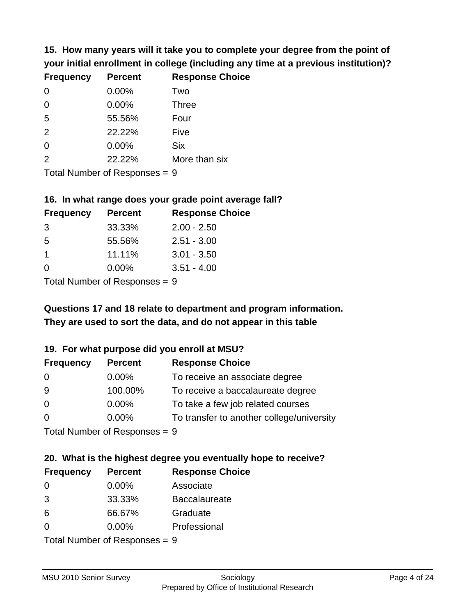**15. How many years will it take you to complete your degree from the point of your initial enrollment in college (including any time at a previous institution)?**

| <b>Frequency</b> | <b>Percent</b> | <b>Response Choice</b> |
|------------------|----------------|------------------------|
| $\Omega$         | 0.00%          | Two                    |
| 0                | 0.00%          | <b>Three</b>           |
| 5                | 55.56%         | Four                   |
| 2                | 22.22%         | Five                   |
| 0                | $0.00\%$       | <b>Six</b>             |
| 2                | 22.22%         | More than six          |
|                  |                |                        |

Total Number of Responses = 9

#### **16. In what range does your grade point average fall?**

| <b>Frequency</b> | <b>Percent</b> | <b>Response Choice</b> |
|------------------|----------------|------------------------|
| -3               | 33.33%         | $2.00 - 2.50$          |
| -5               | 55.56%         | $2.51 - 3.00$          |
| 1                | 11.11%         | $3.01 - 3.50$          |
| 0                | $0.00\%$       | $3.51 - 4.00$          |
|                  |                |                        |

Total Number of Responses = 9

# **They are used to sort the data, and do not appear in this table Questions 17 and 18 relate to department and program information.**

#### **19. For what purpose did you enroll at MSU?**

| <b>Frequency</b> | <b>Percent</b>              | <b>Response Choice</b>                    |
|------------------|-----------------------------|-------------------------------------------|
| 0                | $0.00\%$                    | To receive an associate degree            |
| 9                | 100.00%                     | To receive a baccalaureate degree         |
| $\overline{0}$   | $0.00\%$                    | To take a few job related courses         |
| $\Omega$         | $0.00\%$                    | To transfer to another college/university |
|                  | Total Number of Despesses 0 |                                           |

Total Number of Responses = 9

# **20. What is the highest degree you eventually hope to receive?**

| <b>Frequency</b> | <b>Percent</b>                 | <b>Response Choice</b> |
|------------------|--------------------------------|------------------------|
| 0                | $0.00\%$                       | Associate              |
| 3                | 33.33%                         | <b>Baccalaureate</b>   |
| 6                | 66.67%                         | Graduate               |
| 0                | $0.00\%$                       | Professional           |
|                  | $Total Number of Denonone = 0$ |                        |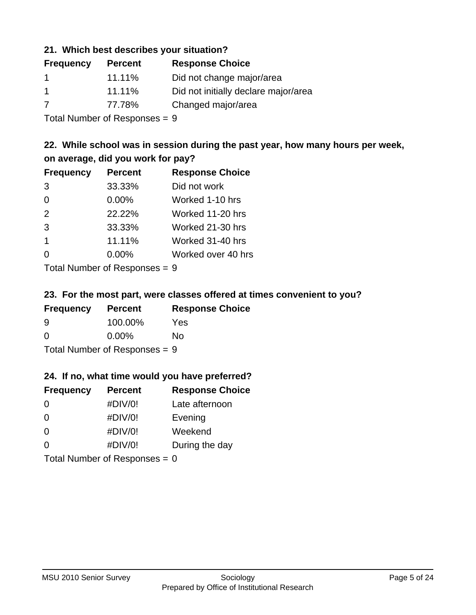### **21. Which best describes your situation?**

| <b>Frequency</b> | <b>Percent</b> | <b>Response Choice</b>               |
|------------------|----------------|--------------------------------------|
|                  | 11.11%         | Did not change major/area            |
| -1               | 11.11%         | Did not initially declare major/area |
| 7                | 77.78%         | Changed major/area                   |
|                  |                |                                      |

Total Number of Responses = 9

### **22. While school was in session during the past year, how many hours per week, on average, did you work for pay?**

| <b>Frequency</b> | <b>Percent</b> | <b>Response Choice</b> |
|------------------|----------------|------------------------|
| 3                | 33.33%         | Did not work           |
| $\Omega$         | 0.00%          | Worked 1-10 hrs        |
| 2                | 22.22%         | Worked 11-20 hrs       |
| 3                | 33.33%         | Worked 21-30 hrs       |
| $\mathbf 1$      | 11.11%         | Worked 31-40 hrs       |
| $\Omega$         | 0.00%          | Worked over 40 hrs     |
|                  |                |                        |

Total Number of Responses = 9

#### **23. For the most part, were classes offered at times convenient to you?**

| <b>Frequency</b>                | <b>Percent</b> | <b>Response Choice</b> |
|---------------------------------|----------------|------------------------|
| 9                               | 100.00%        | Yes                    |
| $\Omega$                        | $0.00\%$       | Nο                     |
| Total Number of Responses = $9$ |                |                        |

#### **24. If no, what time would you have preferred?**

| <b>Frequency</b> | <b>Percent</b>                  | <b>Response Choice</b> |
|------------------|---------------------------------|------------------------|
| $\Omega$         | #DIV/0!                         | Late afternoon         |
| 0                | #DIV/0!                         | Evening                |
| 0                | #DIV/0!                         | Weekend                |
| $\Omega$         | #DIV/0!                         | During the day         |
|                  | Total Number of Responses = $0$ |                        |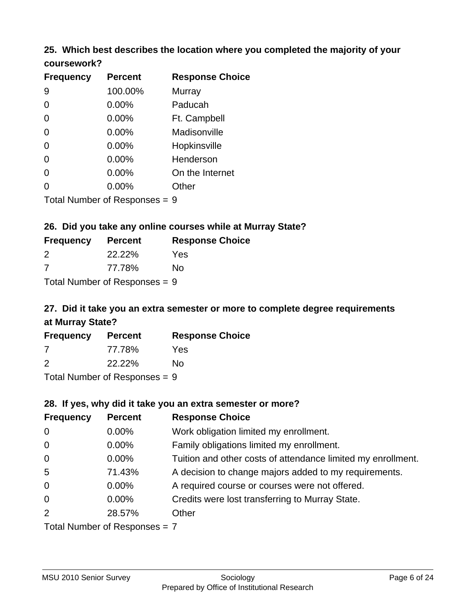### **25. Which best describes the location where you completed the majority of your coursework?**

| <b>Frequency</b>           | <b>Percent</b> | <b>Response Choice</b> |
|----------------------------|----------------|------------------------|
| 9                          | 100.00%        | Murray                 |
| 0                          | 0.00%          | Paducah                |
| $\overline{0}$             | 0.00%          | Ft. Campbell           |
| 0                          | 0.00%          | Madisonville           |
| 0                          | 0.00%          | Hopkinsville           |
| 0                          | 0.00%          | Henderson              |
| 0                          | 0.00%          | On the Internet        |
| 0                          | 0.00%          | Other                  |
| Tetal Number of Desperance |                | C.                     |

Total Number of Responses = 9

### **26. Did you take any online courses while at Murray State?**

| <b>Frequency</b>               | <b>Percent</b> | <b>Response Choice</b> |
|--------------------------------|----------------|------------------------|
| 2                              | <b>22.22%</b>  | Yes                    |
| -7                             | 77.78%         | Nο                     |
| $Total Number of DoEROROR = 0$ |                |                        |

Total Number of Responses = 9

# **27. Did it take you an extra semester or more to complete degree requirements at Murray State?**

| <b>Frequency</b> | <b>Percent</b> | <b>Response Choice</b> |
|------------------|----------------|------------------------|
| -7               | 77.78%         | Yes                    |
| 2                | 22.22%         | No.                    |
| ________         |                |                        |

Total Number of Responses = 9

#### **28. If yes, why did it take you an extra semester or more?**

| <b>Frequency</b>                | <b>Percent</b> | <b>Response Choice</b>                                       |
|---------------------------------|----------------|--------------------------------------------------------------|
| $\overline{0}$                  | $0.00\%$       | Work obligation limited my enrollment.                       |
| $\mathbf 0$                     | $0.00\%$       | Family obligations limited my enrollment.                    |
| $\mathbf 0$                     | 0.00%          | Tuition and other costs of attendance limited my enrollment. |
| $5\phantom{.0}$                 | 71.43%         | A decision to change majors added to my requirements.        |
| $\mathbf 0$                     | $0.00\%$       | A required course or courses were not offered.               |
| $\Omega$                        | $0.00\%$       | Credits were lost transferring to Murray State.              |
| 2                               | 28.57%         | Other                                                        |
| Total Number of Responses = $7$ |                |                                                              |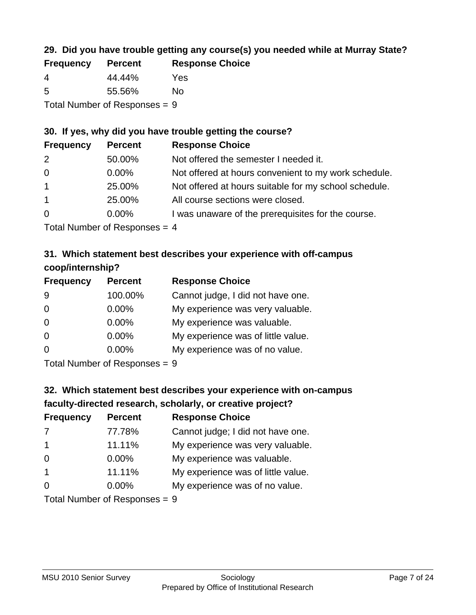# **29. Did you have trouble getting any course(s) you needed while at Murray State?**

| <b>Frequency</b> | <b>Percent</b>                  | <b>Response Choice</b> |
|------------------|---------------------------------|------------------------|
| -4               | 44.44%                          | Yes                    |
| -5               | 55.56%                          | No.                    |
|                  | Total Number of Responses = $9$ |                        |

### **30. If yes, why did you have trouble getting the course?**

| <b>Frequency</b> | <b>Percent</b> | <b>Response Choice</b>                                |
|------------------|----------------|-------------------------------------------------------|
| 2                | 50.00%         | Not offered the semester I needed it.                 |
| $\overline{0}$   | $0.00\%$       | Not offered at hours convenient to my work schedule.  |
| $\overline{1}$   | 25.00%         | Not offered at hours suitable for my school schedule. |
| $\overline{1}$   | 25.00%         | All course sections were closed.                      |
| $\overline{0}$   | $0.00\%$       | I was unaware of the prerequisites for the course.    |
|                  |                |                                                       |

Total Number of Responses = 4

# **31. Which statement best describes your experience with off-campus coop/internship?**

| <b>Frequency</b> | <b>Percent</b>                                                     | <b>Response Choice</b>             |
|------------------|--------------------------------------------------------------------|------------------------------------|
| 9                | 100.00%                                                            | Cannot judge, I did not have one.  |
| $\Omega$         | 0.00%                                                              | My experience was very valuable.   |
| $\Omega$         | $0.00\%$                                                           | My experience was valuable.        |
| $\Omega$         | 0.00%                                                              | My experience was of little value. |
| $\Omega$         | 0.00%                                                              | My experience was of no value.     |
|                  | $T$ at all Message and $R$ $\sim$ and $\sim$ and $\sim$ and $\sim$ |                                    |

Total Number of Responses = 9

# **32. Which statement best describes your experience with on-campus faculty-directed research, scholarly, or creative project?**

| <b>Frequency</b> | <b>Percent</b>                 | <b>Response Choice</b>             |
|------------------|--------------------------------|------------------------------------|
| 7                | 77.78%                         | Cannot judge; I did not have one.  |
| $\overline{1}$   | 11.11%                         | My experience was very valuable.   |
| $\Omega$         | $0.00\%$                       | My experience was valuable.        |
| $\overline{1}$   | 11.11%                         | My experience was of little value. |
| $\Omega$         | $0.00\%$                       | My experience was of no value.     |
|                  | $Total Number of Denonone = 0$ |                                    |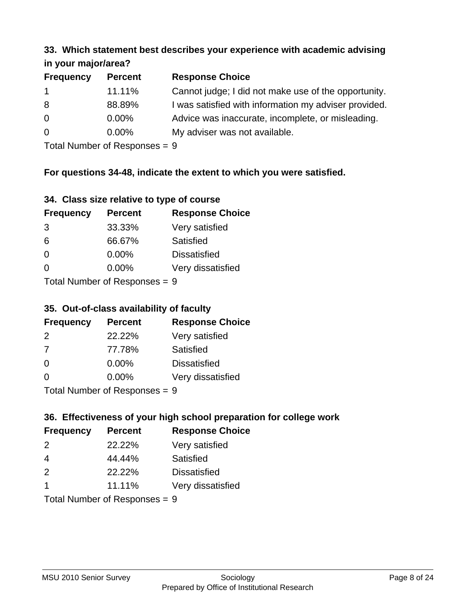#### **33. Which statement best describes your experience with academic advising in your major/area?**

| $\mathbf{u}$ yvu $\mathbf{u}$ yvu $\mathbf{u}$ |                |                                                       |
|------------------------------------------------|----------------|-------------------------------------------------------|
| <b>Frequency</b>                               | <b>Percent</b> | <b>Response Choice</b>                                |
| $\mathbf 1$                                    | 11.11%         | Cannot judge; I did not make use of the opportunity.  |
| 8                                              | 88.89%         | I was satisfied with information my adviser provided. |
| $\overline{0}$                                 | $0.00\%$       | Advice was inaccurate, incomplete, or misleading.     |
| $\overline{0}$                                 | $0.00\%$       | My adviser was not available.                         |
|                                                |                |                                                       |

Total Number of Responses = 9

# **For questions 34-48, indicate the extent to which you were satisfied.**

| 34. Class size relative to type of course |  |  |  |  |  |  |  |  |
|-------------------------------------------|--|--|--|--|--|--|--|--|
|-------------------------------------------|--|--|--|--|--|--|--|--|

| <b>Frequency</b>                | <b>Percent</b> | <b>Response Choice</b> |  |
|---------------------------------|----------------|------------------------|--|
| 3                               | 33.33%         | Very satisfied         |  |
| 6                               | 66.67%         | Satisfied              |  |
| $\Omega$                        | $0.00\%$       | <b>Dissatisfied</b>    |  |
| $\Omega$                        | $0.00\%$       | Very dissatisfied      |  |
| Total Number of Poenonces $= 0$ |                |                        |  |

Total Number of Responses = 9

### **35. Out-of-class availability of faculty**

| <b>Frequency</b> | <b>Percent</b> | <b>Response Choice</b> |
|------------------|----------------|------------------------|
| $\mathcal{P}$    | 22.22%         | Very satisfied         |
| 7                | 77.78%         | Satisfied              |
| $\Omega$         | $0.00\%$       | <b>Dissatisfied</b>    |
| ∩                | $0.00\%$       | Very dissatisfied      |
|                  |                |                        |

Total Number of Responses = 9

# **36. Effectiveness of your high school preparation for college work**

| <b>Frequency</b> | <b>Percent</b>              | <b>Response Choice</b> |
|------------------|-----------------------------|------------------------|
| 2                | 22.22%                      | Very satisfied         |
| $\overline{4}$   | 44.44%                      | Satisfied              |
| 2                | 22.22%                      | <b>Dissatisfied</b>    |
|                  | 11.11%                      | Very dissatisfied      |
|                  | Tatal Massakan af Dagmannar |                        |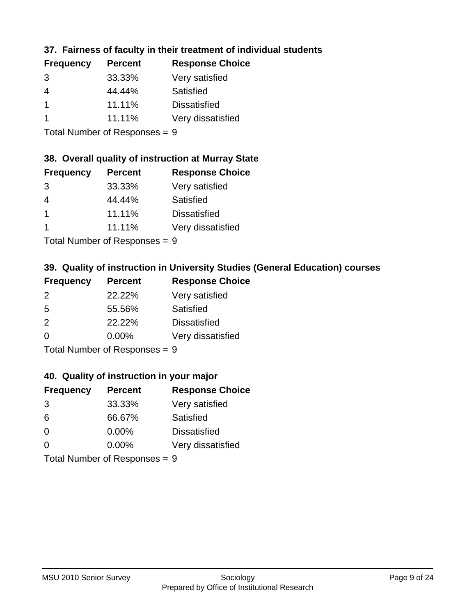# **37. Fairness of faculty in their treatment of individual students**

| <b>Percent</b> | <b>Response Choice</b> |
|----------------|------------------------|
| 33.33%         | Very satisfied         |
| 44.44%         | Satisfied              |
| 11.11%         | <b>Dissatisfied</b>    |
| 11.11%         | Very dissatisfied      |
|                |                        |

Total Number of Responses = 9

#### **38. Overall quality of instruction at Murray State**

| <b>Frequency</b>     | <b>Percent</b> | <b>Response Choice</b> |
|----------------------|----------------|------------------------|
| 3                    | 33.33%         | Very satisfied         |
| 4                    | 44.44%         | Satisfied              |
| $\blacktriangleleft$ | 11.11%         | <b>Dissatisfied</b>    |
|                      | 11.11%         | Very dissatisfied      |
|                      |                |                        |

Total Number of Responses = 9

# **39. Quality of instruction in University Studies (General Education) courses**

| <b>Frequency</b> | <b>Percent</b> | <b>Response Choice</b> |
|------------------|----------------|------------------------|
| $\mathcal{P}$    | 22.22%         | Very satisfied         |
| 5                | 55.56%         | Satisfied              |
| 2                | 22.22%         | <b>Dissatisfied</b>    |
| $\Omega$         | 0.00%          | Very dissatisfied      |
|                  |                |                        |

Total Number of Responses = 9

#### **40. Quality of instruction in your major**

| <b>Frequency</b> | <b>Percent</b>             | <b>Response Choice</b> |
|------------------|----------------------------|------------------------|
| 3                | 33.33%                     | Very satisfied         |
| 6                | 66.67%                     | Satisfied              |
| $\Omega$         | $0.00\%$                   | <b>Dissatisfied</b>    |
| $\Omega$         | 0.00%                      | Very dissatisfied      |
|                  | Tatal Number of Desperance |                        |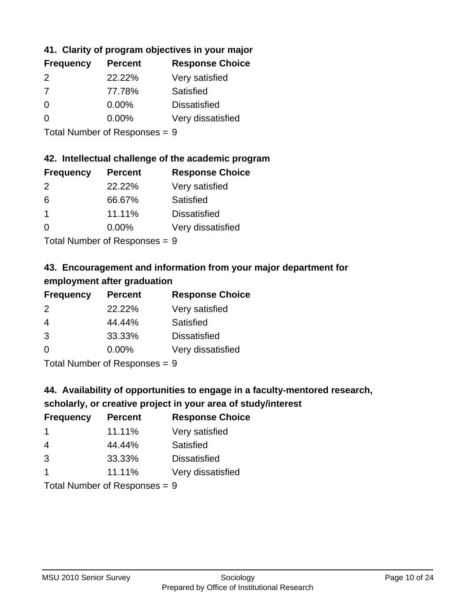## **41. Clarity of program objectives in your major**

| <b>Frequency</b> | <b>Percent</b> | <b>Response Choice</b> |
|------------------|----------------|------------------------|
| 2                | 22.22%         | Very satisfied         |
| 7                | 77.78%         | Satisfied              |
| 0                | $0.00\%$       | <b>Dissatisfied</b>    |
|                  | $0.00\%$       | Very dissatisfied      |
|                  |                |                        |

Total Number of Responses = 9

#### **42. Intellectual challenge of the academic program**

| <b>Frequency</b> | <b>Percent</b> | <b>Response Choice</b> |
|------------------|----------------|------------------------|
| $\mathcal{P}$    | 22.22%         | Very satisfied         |
| 6                | 66.67%         | Satisfied              |
|                  | 11.11%         | <b>Dissatisfied</b>    |
| ∩                | $0.00\%$       | Very dissatisfied      |
|                  |                |                        |

Total Number of Responses = 9

# **43. Encouragement and information from your major department for employment after graduation**

| <b>Frequency</b> | <b>Percent</b> | <b>Response Choice</b> |
|------------------|----------------|------------------------|
| 2                | 22.22%         | Very satisfied         |
| $\overline{4}$   | 44.44%         | Satisfied              |
| 3                | 33.33%         | <b>Dissatisfied</b>    |
| $\Omega$         | 0.00%          | Very dissatisfied      |
|                  |                |                        |

Total Number of Responses = 9

# **44. Availability of opportunities to engage in a faculty-mentored research,**

### **scholarly, or creative project in your area of study/interest**

| <b>Frequency</b> | <b>Percent</b> | <b>Response Choice</b> |
|------------------|----------------|------------------------|
|                  | 11.11%         | Very satisfied         |
| 4                | 44.44%         | Satisfied              |
| 3                | 33.33%         | <b>Dissatisfied</b>    |
|                  | 11.11%         | Very dissatisfied      |
|                  |                |                        |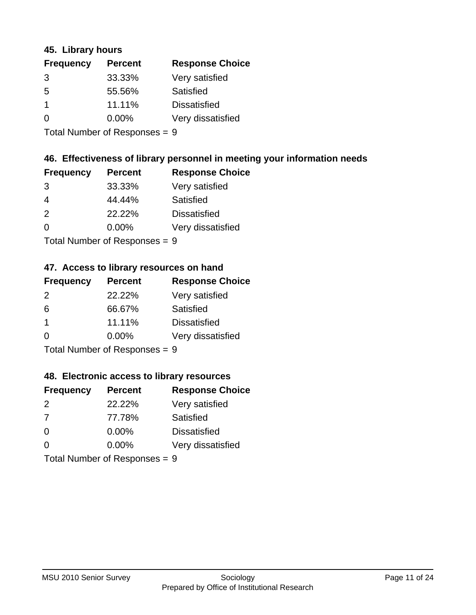#### **45. Library hours**

| <b>Frequency</b> | <b>Percent</b> | <b>Response Choice</b> |
|------------------|----------------|------------------------|
| 3                | 33.33%         | Very satisfied         |
| 5                | 55.56%         | Satisfied              |
|                  | 11.11%         | <b>Dissatisfied</b>    |
| $\Omega$         | $0.00\%$       | Very dissatisfied      |
|                  |                |                        |

Total Number of Responses = 9

## **46. Effectiveness of library personnel in meeting your information needs**

| <b>Frequency</b> | <b>Percent</b> | <b>Response Choice</b> |
|------------------|----------------|------------------------|
| 3                | 33.33%         | Very satisfied         |
| 4                | 44.44%         | Satisfied              |
| $\mathcal{P}$    | 22.22%         | <b>Dissatisfied</b>    |
| $\Omega$         | $0.00\%$       | Very dissatisfied      |
|                  |                |                        |

Total Number of Responses = 9

# **47. Access to library resources on hand**

| <b>Frequency</b> | <b>Percent</b>              | <b>Response Choice</b> |
|------------------|-----------------------------|------------------------|
| $\mathcal{P}$    | 22.22%                      | Very satisfied         |
| 6                | 66.67%                      | Satisfied              |
| -1               | 11.11%                      | <b>Dissatisfied</b>    |
| ∩                | 0.00%                       | Very dissatisfied      |
|                  | Tatal Massakan af Dannannan |                        |

Total Number of Responses = 9

#### **48. Electronic access to library resources**

| <b>Frequency</b>              | <b>Percent</b> | <b>Response Choice</b> |
|-------------------------------|----------------|------------------------|
| $\mathcal{P}$                 | 22.22%         | Very satisfied         |
| 7                             | 77.78%         | Satisfied              |
| $\Omega$                      | $0.00\%$       | <b>Dissatisfied</b>    |
| ∩                             | $0.00\%$       | Very dissatisfied      |
| Total Number of Responses = 9 |                |                        |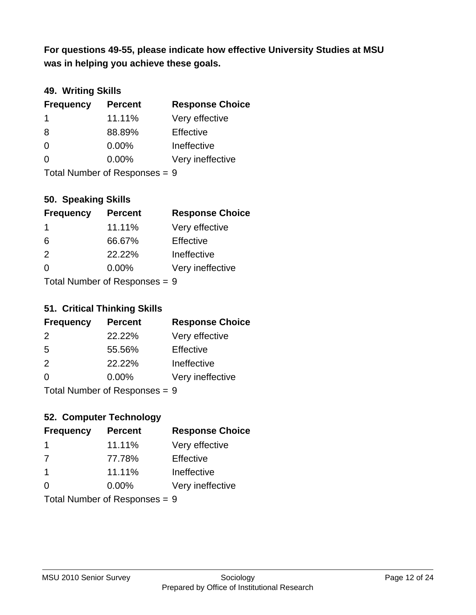**was in helping you achieve these goals. For questions 49-55, please indicate how effective University Studies at MSU** 

## **49. Writing Skills**

| <b>Frequency</b>              | <b>Percent</b> | <b>Response Choice</b> |
|-------------------------------|----------------|------------------------|
| -1                            | 11.11%         | Very effective         |
| 8                             | 88.89%         | Effective              |
| $\Omega$                      | 0.00%          | Ineffective            |
| $\Omega$                      | 0.00%          | Very ineffective       |
| Total Number of Responses = 9 |                |                        |

### **50. Speaking Skills**

| <b>Frequency</b> | <b>Percent</b>            | <b>Response Choice</b> |
|------------------|---------------------------|------------------------|
| $\mathbf 1$      | 11.11%                    | Very effective         |
| 6                | 66.67%                    | Effective              |
| $\mathcal{P}$    | 22.22%                    | Ineffective            |
| $\Omega$         | 0.00%                     | Very ineffective       |
|                  | Total Number of Deepensee |                        |

Total Number of Responses = 9

### **51. Critical Thinking Skills**

| <b>Frequency</b> | <b>Percent</b> | <b>Response Choice</b> |
|------------------|----------------|------------------------|
| $\mathcal{P}$    | 22.22%         | Very effective         |
| -5               | 55.56%         | Effective              |
| $\mathcal{P}$    | 22.22%         | Ineffective            |
| $\Omega$         | 0.00%          | Very ineffective       |
|                  |                |                        |

Total Number of Responses = 9

# **52. Computer Technology**

| <b>Frequency</b>              | <b>Percent</b> | <b>Response Choice</b> |
|-------------------------------|----------------|------------------------|
| -1                            | 11.11%         | Very effective         |
| 7                             | 77.78%         | Effective              |
| $\mathbf 1$                   | 11.11%         | Ineffective            |
| $\Omega$                      | 0.00%          | Very ineffective       |
| Total Number of Responses = 9 |                |                        |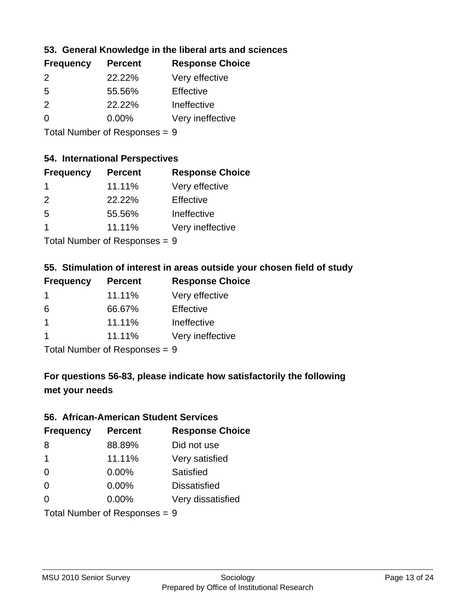### **53. General Knowledge in the liberal arts and sciences**

| <b>Frequency</b> | <b>Percent</b> | <b>Response Choice</b> |
|------------------|----------------|------------------------|
| $\mathcal{P}$    | 22.22%         | Very effective         |
| .5               | 55.56%         | Effective              |
| $\mathcal{P}$    | 22.22%         | Ineffective            |
| ∩                | $0.00\%$       | Very ineffective       |
|                  |                |                        |

Total Number of Responses = 9

#### **54. International Perspectives**

| <b>Frequency</b> | <b>Percent</b> | <b>Response Choice</b> |
|------------------|----------------|------------------------|
| -1               | 11.11%         | Very effective         |
| 2                | 22.22%         | Effective              |
| .5               | 55.56%         | Ineffective            |
| 1                | 11.11%         | Very ineffective       |
|                  |                |                        |

Total Number of Responses = 9

# **55. Stimulation of interest in areas outside your chosen field of study**

| <b>Frequency</b> | <b>Percent</b>                             | <b>Response Choice</b> |
|------------------|--------------------------------------------|------------------------|
|                  | 11.11%                                     | Very effective         |
| 6                | 66.67%                                     | Effective              |
| -1               | 11.11%                                     | Ineffective            |
|                  | 11.11%                                     | Very ineffective       |
|                  | $T$ at all Message and $D$ are a second on |                        |

Total Number of Responses = 9

# **For questions 56-83, please indicate how satisfactorily the following met your needs**

#### **56. African-American Student Services**

| <b>Frequency</b>              | <b>Percent</b> | <b>Response Choice</b> |
|-------------------------------|----------------|------------------------|
| 8                             | 88.89%         | Did not use            |
| $\overline{1}$                | 11.11%         | Very satisfied         |
| $\Omega$                      | 0.00%          | Satisfied              |
| $\Omega$                      | 0.00%          | <b>Dissatisfied</b>    |
| $\Omega$                      | 0.00%          | Very dissatisfied      |
| Total Number of Responses = 9 |                |                        |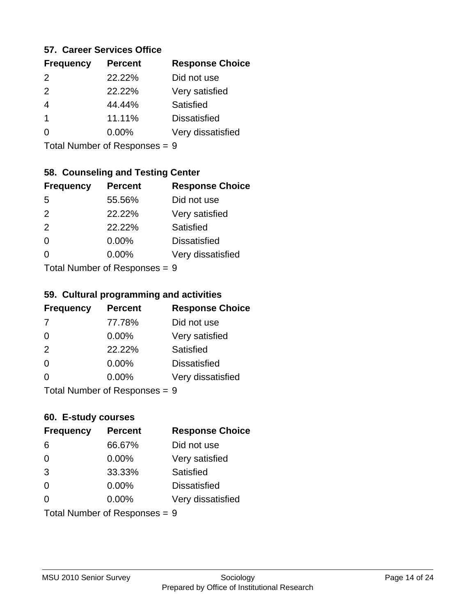#### **57. Career Services Office**

| <b>Frequency</b> | <b>Percent</b> | <b>Response Choice</b> |
|------------------|----------------|------------------------|
| $\mathcal{P}$    | 22.22%         | Did not use            |
| $\mathcal{P}$    | 22.22%         | Very satisfied         |
|                  | 44.44%         | Satisfied              |
|                  | 11.11%         | <b>Dissatisfied</b>    |
|                  | $0.00\%$       | Very dissatisfied      |
|                  |                |                        |

Total Number of Responses = 9

# **58. Counseling and Testing Center**

| <b>Frequency</b>          | <b>Percent</b> | <b>Response Choice</b> |
|---------------------------|----------------|------------------------|
| -5                        | 55.56%         | Did not use            |
| 2                         | 22.22%         | Very satisfied         |
| 2                         | 22.22%         | <b>Satisfied</b>       |
| $\Omega$                  | $0.00\%$       | <b>Dissatisfied</b>    |
| ∩                         | 0.00%          | Very dissatisfied      |
| Total Number of Desponses |                |                        |

Total Number of Responses = 9

#### **59. Cultural programming and activities**

| <b>Frequency</b>           | <b>Percent</b> | <b>Response Choice</b> |
|----------------------------|----------------|------------------------|
| 7                          | 77.78%         | Did not use            |
| $\Omega$                   | 0.00%          | Very satisfied         |
| 2                          | 22.22%         | Satisfied              |
| $\Omega$                   | 0.00%          | <b>Dissatisfied</b>    |
| $\Omega$                   | 0.00%          | Very dissatisfied      |
| Total Number of Deepersoon |                |                        |

Total Number of Responses = 9

#### **60. E-study courses**

| <b>Frequency</b> | <b>Percent</b>                | <b>Response Choice</b> |
|------------------|-------------------------------|------------------------|
| 6                | 66.67%                        | Did not use            |
| $\Omega$         | 0.00%                         | Very satisfied         |
| 3                | 33.33%                        | Satisfied              |
| $\Omega$         | 0.00%                         | <b>Dissatisfied</b>    |
| $\Omega$         | $0.00\%$                      | Very dissatisfied      |
|                  | Total Number of Responses = 9 |                        |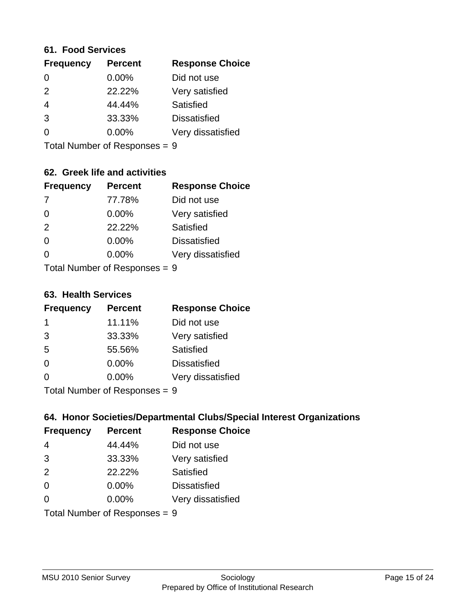#### **61. Food Services**

| <b>Frequency</b> | <b>Percent</b> | <b>Response Choice</b> |
|------------------|----------------|------------------------|
| $\Omega$         | 0.00%          | Did not use            |
| $\mathcal{P}$    | 22.22%         | Very satisfied         |
| $\overline{4}$   | 44.44%         | Satisfied              |
| 3                | 33.33%         | <b>Dissatisfied</b>    |
| ∩                | $0.00\%$       | Very dissatisfied      |
|                  |                |                        |

Total Number of Responses = 9

# **62. Greek life and activities**

| <b>Frequency</b>              | <b>Percent</b> | <b>Response Choice</b> |
|-------------------------------|----------------|------------------------|
| -7                            | 77.78%         | Did not use            |
| 0                             | 0.00%          | Very satisfied         |
| 2                             | 22.22%         | Satisfied              |
| $\Omega$                      | 0.00%          | <b>Dissatisfied</b>    |
| O                             | $0.00\%$       | Very dissatisfied      |
| Total Number of Responses = 9 |                |                        |

**63. Health Services**

| <b>Frequency</b> | <b>Percent</b>             | <b>Response Choice</b> |
|------------------|----------------------------|------------------------|
| 1                | 11.11%                     | Did not use            |
| 3                | 33.33%                     | Very satisfied         |
| 5                | 55.56%                     | Satisfied              |
| $\Omega$         | $0.00\%$                   | <b>Dissatisfied</b>    |
| $\Omega$         | 0.00%                      | Very dissatisfied      |
|                  | Total Number of Desperance |                        |

Total Number of Responses = 9

### **64. Honor Societies/Departmental Clubs/Special Interest Organizations**

| <b>Frequency</b>              | <b>Percent</b> | <b>Response Choice</b> |
|-------------------------------|----------------|------------------------|
| $\overline{4}$                | 44.44%         | Did not use            |
| 3                             | 33.33%         | Very satisfied         |
| 2                             | 22.22%         | Satisfied              |
| $\Omega$                      | 0.00%          | <b>Dissatisfied</b>    |
| $\Omega$                      | 0.00%          | Very dissatisfied      |
| Total Number of Responses = 9 |                |                        |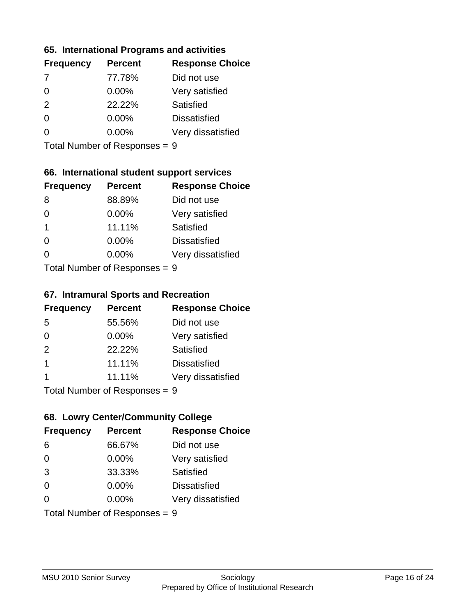### **65. International Programs and activities**

| <b>Frequency</b> | <b>Percent</b> | <b>Response Choice</b> |
|------------------|----------------|------------------------|
|                  | 77.78%         | Did not use            |
| 0                | $0.00\%$       | Very satisfied         |
| 2                | 22.22%         | Satisfied              |
| O                | $0.00\%$       | <b>Dissatisfied</b>    |
|                  | $0.00\%$       | Very dissatisfied      |
|                  |                |                        |

Total Number of Responses = 9

### **66. International student support services**

| <b>Frequency</b>          | <b>Percent</b> | <b>Response Choice</b> |
|---------------------------|----------------|------------------------|
| 8                         | 88.89%         | Did not use            |
| $\Omega$                  | 0.00%          | Very satisfied         |
| -1                        | 11.11%         | Satisfied              |
| $\Omega$                  | 0.00%          | <b>Dissatisfied</b>    |
| ∩                         | 0.00%          | Very dissatisfied      |
| Total Number of Desponses |                |                        |

Total Number of Responses = 9

#### **67. Intramural Sports and Recreation**

| <b>Frequency</b> | <b>Percent</b>             | <b>Response Choice</b> |
|------------------|----------------------------|------------------------|
| 5                | 55.56%                     | Did not use            |
| $\Omega$         | $0.00\%$                   | Very satisfied         |
| 2                | 22.22%                     | Satisfied              |
| -1               | 11.11%                     | <b>Dissatisfied</b>    |
|                  | 11.11%                     | Very dissatisfied      |
|                  | Tatal Number of Desperance |                        |

Total Number of Responses = 9

# **68. Lowry Center/Community College**

| <b>Frequency</b>              | <b>Percent</b> | <b>Response Choice</b> |
|-------------------------------|----------------|------------------------|
| 6                             | 66.67%         | Did not use            |
| $\Omega$                      | 0.00%          | Very satisfied         |
| 3                             | 33.33%         | Satisfied              |
| $\Omega$                      | 0.00%          | <b>Dissatisfied</b>    |
| $\Omega$                      | $0.00\%$       | Very dissatisfied      |
| Total Number of Responses = 9 |                |                        |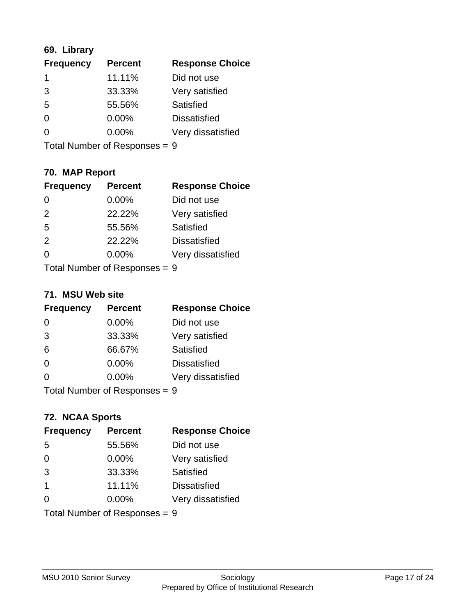# **69. Library**

| <b>Frequency</b> | <b>Percent</b> | <b>Response Choice</b> |
|------------------|----------------|------------------------|
| 1                | 11.11%         | Did not use            |
| 3                | 33.33%         | Very satisfied         |
| 5                | 55.56%         | Satisfied              |
| $\Omega$         | $0.00\%$       | <b>Dissatisfied</b>    |
| $\Omega$         | $0.00\%$       | Very dissatisfied      |
|                  |                |                        |

Total Number of Responses = 9

# **70. MAP Report**

| <b>Frequency</b>              | <b>Percent</b> | <b>Response Choice</b> |
|-------------------------------|----------------|------------------------|
|                               | 0.00%          | Did not use            |
| 2                             | 22.22%         | Very satisfied         |
| 5                             | 55.56%         | Satisfied              |
| 2                             | 22.22%         | <b>Dissatisfied</b>    |
| ∩                             | $0.00\%$       | Very dissatisfied      |
| Total Number of Responses = 9 |                |                        |

#### **71. MSU Web site**

| <b>Frequency</b>              | <b>Percent</b> | <b>Response Choice</b> |
|-------------------------------|----------------|------------------------|
| $\Omega$                      | 0.00%          | Did not use            |
| 3                             | 33.33%         | Very satisfied         |
| 6                             | 66.67%         | Satisfied              |
| $\Omega$                      | 0.00%          | <b>Dissatisfied</b>    |
| ∩                             | 0.00%          | Very dissatisfied      |
| Total Number of Responses = 9 |                |                        |

### **72. NCAA Sports**

| <b>Frequency</b>              | <b>Percent</b> | <b>Response Choice</b> |
|-------------------------------|----------------|------------------------|
| 5                             | 55.56%         | Did not use            |
| $\Omega$                      | 0.00%          | Very satisfied         |
| 3                             | 33.33%         | Satisfied              |
| $\overline{1}$                | 11.11%         | <b>Dissatisfied</b>    |
| ∩                             | $0.00\%$       | Very dissatisfied      |
| Total Number of Responses = 9 |                |                        |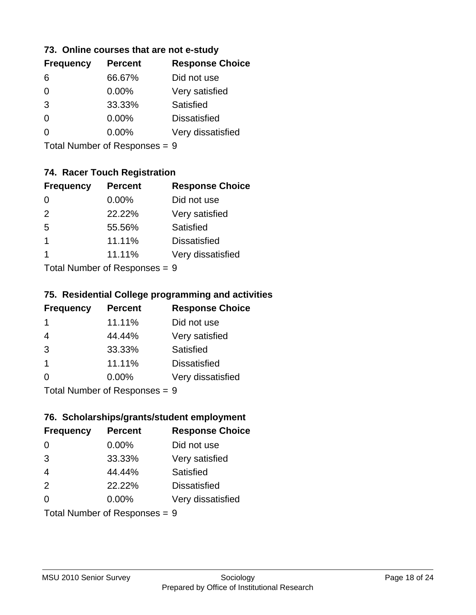#### **73. Online courses that are not e-study**

| <b>Frequency</b> | <b>Percent</b> | <b>Response Choice</b> |
|------------------|----------------|------------------------|
| 6                | 66.67%         | Did not use            |
| 0                | $0.00\%$       | Very satisfied         |
| 3                | 33.33%         | Satisfied              |
| 0                | $0.00\%$       | <b>Dissatisfied</b>    |
|                  | $0.00\%$       | Very dissatisfied      |
|                  |                |                        |

Total Number of Responses = 9

# **74. Racer Touch Registration**

| <b>Frequency</b> | <b>Percent</b> | <b>Response Choice</b> |
|------------------|----------------|------------------------|
| 0                | 0.00%          | Did not use            |
| 2                | 22.22%         | Very satisfied         |
| -5               | 55.56%         | <b>Satisfied</b>       |
| 1                | 11.11%         | <b>Dissatisfied</b>    |
| 1                | 11.11%         | Very dissatisfied      |
|                  |                |                        |

Total Number of Responses = 9

### **75. Residential College programming and activities**

| <b>Frequency</b> | <b>Percent</b>             | <b>Response Choice</b> |
|------------------|----------------------------|------------------------|
| -1               | 11.11%                     | Did not use            |
| $\overline{4}$   | 44.44%                     | Very satisfied         |
| 3                | 33.33%                     | Satisfied              |
| $\mathbf 1$      | 11.11%                     | <b>Dissatisfied</b>    |
| $\Omega$         | $0.00\%$                   | Very dissatisfied      |
|                  | Tatal Number of Desperance | C.                     |

Total Number of Responses = 9

# **76. Scholarships/grants/student employment**

| <b>Frequency</b>              | <b>Percent</b> | <b>Response Choice</b> |
|-------------------------------|----------------|------------------------|
| 0                             | 0.00%          | Did not use            |
| 3                             | 33.33%         | Very satisfied         |
| $\overline{4}$                | 44.44%         | Satisfied              |
| 2                             | 22.22%         | <b>Dissatisfied</b>    |
| $\Omega$                      | $0.00\%$       | Very dissatisfied      |
| Total Number of Responses = 9 |                |                        |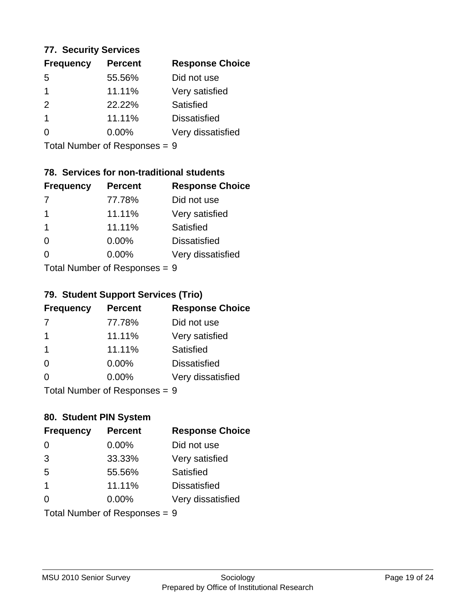### **77. Security Services**

| <b>Percent</b> | <b>Response Choice</b> |
|----------------|------------------------|
| 55.56%         | Did not use            |
| 11.11%         | Very satisfied         |
| 22.22%         | Satisfied              |
| 11.11%         | <b>Dissatisfied</b>    |
| $0.00\%$       | Very dissatisfied      |
|                |                        |

Total Number of Responses = 9

# **78. Services for non-traditional students**

| <b>Frequency</b> | <b>Percent</b>             | <b>Response Choice</b> |
|------------------|----------------------------|------------------------|
|                  | 77.78%                     | Did not use            |
| 1                | 11.11%                     | Very satisfied         |
| 1                | 11.11%                     | Satisfied              |
| ∩                | 0.00%                      | <b>Dissatisfied</b>    |
| ∩                | 0.00%                      | Very dissatisfied      |
|                  | Total Number of Deepersoon |                        |

Total Number of Responses = 9

# **79. Student Support Services (Trio)**

| <b>Frequency</b>           | <b>Percent</b> | <b>Response Choice</b> |
|----------------------------|----------------|------------------------|
| -7                         | 77.78%         | Did not use            |
| -1                         | 11.11%         | Very satisfied         |
| $\mathbf 1$                | 11.11%         | Satisfied              |
| $\Omega$                   | $0.00\%$       | <b>Dissatisfied</b>    |
| $\Omega$                   | $0.00\%$       | Very dissatisfied      |
| Total Number of Desperance |                |                        |

Total Number of Responses = 9

# **80. Student PIN System**

| <b>Frequency</b>                | <b>Percent</b> | <b>Response Choice</b> |
|---------------------------------|----------------|------------------------|
| $\Omega$                        | 0.00%          | Did not use            |
| 3                               | 33.33%         | Very satisfied         |
| 5                               | 55.56%         | Satisfied              |
| $\overline{1}$                  | 11.11%         | <b>Dissatisfied</b>    |
| $\Omega$                        | $0.00\%$       | Very dissatisfied      |
| Total Number of Responses = $9$ |                |                        |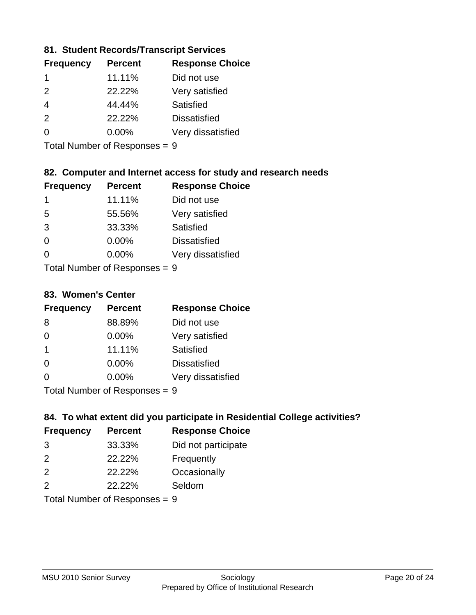### **81. Student Records/Transcript Services**

| <b>Frequency</b> | <b>Percent</b> | <b>Response Choice</b> |
|------------------|----------------|------------------------|
|                  | 11.11%         | Did not use            |
| $\mathcal{P}$    | 22.22%         | Very satisfied         |
| 4                | 44.44%         | Satisfied              |
| $\mathcal{P}$    | 22.22%         | <b>Dissatisfied</b>    |
| ∩                | $0.00\%$       | Very dissatisfied      |

Total Number of Responses = 9

### **82. Computer and Internet access for study and research needs**

| <b>Frequency</b> | <b>Percent</b>                                                                                                                                                                                                                 | <b>Response Choice</b> |
|------------------|--------------------------------------------------------------------------------------------------------------------------------------------------------------------------------------------------------------------------------|------------------------|
| 1                | 11.11%                                                                                                                                                                                                                         | Did not use            |
| 5                | 55.56%                                                                                                                                                                                                                         | Very satisfied         |
| 3                | 33.33%                                                                                                                                                                                                                         | Satisfied              |
| $\Omega$         | 0.00%                                                                                                                                                                                                                          | <b>Dissatisfied</b>    |
| $\Omega$         | 0.00%                                                                                                                                                                                                                          | Very dissatisfied      |
|                  | The INDIAN Contract Description of the Contract of the U.S. of the U.S. of the U.S. of the U.S. of the U.S. of the U.S. of the U.S. of the U.S. of the U.S. of the U.S. of the U.S. of the U.S. of the U.S. of the U.S. of the |                        |

Total Number of Responses = 9

#### **83. Women's Center**

| <b>Frequency</b> | <b>Percent</b>                                                                                                 | <b>Response Choice</b> |
|------------------|----------------------------------------------------------------------------------------------------------------|------------------------|
| 8                | 88.89%                                                                                                         | Did not use            |
| $\Omega$         | 0.00%                                                                                                          | Very satisfied         |
| $\mathbf 1$      | 11.11%                                                                                                         | <b>Satisfied</b>       |
| $\Omega$         | 0.00%                                                                                                          | <b>Dissatisfied</b>    |
| $\Omega$         | 0.00%                                                                                                          | Very dissatisfied      |
|                  | The INDIAN Contract Contract in the Contract of Contract of Contract of Contract of Contract of Contract of Co |                        |

Total Number of Responses = 9

### **84. To what extent did you participate in Residential College activities?**

| <b>Frequency</b> | <b>Percent</b> | <b>Response Choice</b> |
|------------------|----------------|------------------------|
| 3                | 33.33%         | Did not participate    |
| $\mathcal{P}$    | 22.22%         | Frequently             |
| 2                | 22.22%         | Occasionally           |
| $\mathcal{P}$    | 22.22%         | Seldom                 |
|                  |                |                        |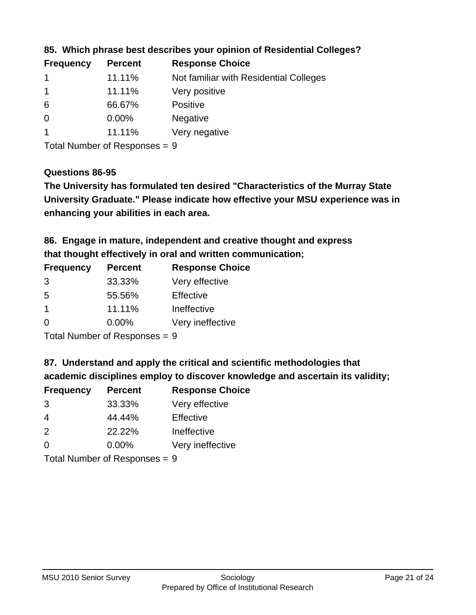| <b>Response Choice</b><br><b>Percent</b> |
|------------------------------------------|
| Not familiar with Residential Colleges   |
| Very positive                            |
| <b>Positive</b>                          |
| <b>Negative</b>                          |
| Very negative                            |
|                                          |

### **85. Which phrase best describes your opinion of Residential Colleges?**

Total Number of Responses = 9

#### **Questions 86-95**

**University Graduate." Please indicate how effective your MSU experience was in The University has formulated ten desired "Characteristics of the Murray State enhancing your abilities in each area.**

**86. Engage in mature, independent and creative thought and express that thought effectively in oral and written communication;**

| <b>Frequency</b> | <b>Percent</b> | <b>Response Choice</b> |
|------------------|----------------|------------------------|
| 3                | 33.33%         | Very effective         |
| -5               | 55.56%         | Effective              |
| 1                | 11.11%         | Ineffective            |
| O                | $0.00\%$       | Very ineffective       |

Total Number of Responses = 9

**87. Understand and apply the critical and scientific methodologies that** 

**academic disciplines employ to discover knowledge and ascertain its validity;**

| <b>Frequency</b> | <b>Percent</b> | <b>Response Choice</b> |
|------------------|----------------|------------------------|
| 3                | 33.33%         | Very effective         |
| 4                | 44.44%         | Effective              |
| $\mathcal{P}$    | 22.22%         | Ineffective            |
| $\Omega$         | 0.00%          | Very ineffective       |
|                  |                |                        |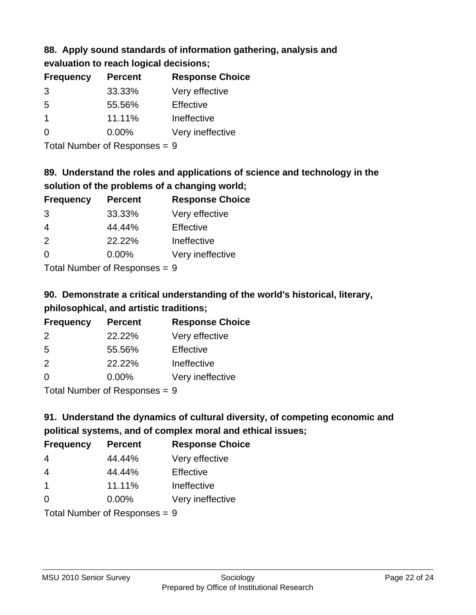# **88. Apply sound standards of information gathering, analysis and evaluation to reach logical decisions;**

| <b>Percent</b> | <b>Response Choice</b> |
|----------------|------------------------|
| 33.33%         | Very effective         |
| 55.56%         | Effective              |
| 11.11%         | Ineffective            |
| $0.00\%$       | Very ineffective       |
|                |                        |

Total Number of Responses = 9

# **89. Understand the roles and applications of science and technology in the solution of the problems of a changing world;**

| <b>Frequency</b> | <b>Percent</b> | <b>Response Choice</b> |
|------------------|----------------|------------------------|
| 3                | 33.33%         | Very effective         |
| $\overline{4}$   | 44.44%         | Effective              |
| 2                | 22.22%         | Ineffective            |
| $\Omega$         | 0.00%          | Very ineffective       |
|                  |                |                        |

Total Number of Responses = 9

# **90. Demonstrate a critical understanding of the world's historical, literary, philosophical, and artistic traditions;**

| <b>Frequency</b> | <b>Percent</b> | <b>Response Choice</b> |
|------------------|----------------|------------------------|
| $\mathcal{P}$    | 22.22%         | Very effective         |
| 5                | 55.56%         | Effective              |
| 2                | 22.22%         | Ineffective            |
| $\Omega$         | 0.00%          | Very ineffective       |
|                  |                |                        |

Total Number of Responses = 9

# **91. Understand the dynamics of cultural diversity, of competing economic and political systems, and of complex moral and ethical issues;**

| <b>Frequency</b> | <b>Percent</b>                | <b>Response Choice</b> |
|------------------|-------------------------------|------------------------|
| 4                | 44.44%                        | Very effective         |
| $\overline{4}$   | 44.44%                        | Effective              |
| $\overline{1}$   | 11.11%                        | Ineffective            |
| $\Omega$         | $0.00\%$                      | Very ineffective       |
|                  | Total Number of Responses = 9 |                        |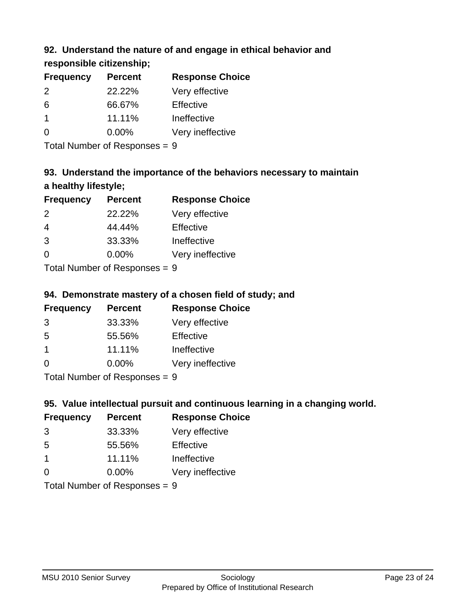# **92. Understand the nature of and engage in ethical behavior and**

**responsible citizenship;**

| <b>Frequency</b> | <b>Percent</b> | <b>Response Choice</b> |
|------------------|----------------|------------------------|
| $\mathcal{P}$    | 22.22%         | Very effective         |
| 6                | 66.67%         | Effective              |
|                  | 11.11%         | Ineffective            |
| O                | $0.00\%$       | Very ineffective       |
|                  |                |                        |

Total Number of Responses = 9

# **93. Understand the importance of the behaviors necessary to maintain a healthy lifestyle;**

| <b>Frequency</b>               | <b>Percent</b> | <b>Response Choice</b> |
|--------------------------------|----------------|------------------------|
| 2                              | 22.22%         | Very effective         |
| $\overline{4}$                 | 44.44%         | Effective              |
| 3                              | 33.33%         | Ineffective            |
| $\Omega$                       | 0.00%          | Very ineffective       |
| Tatal Manufacture Construction |                |                        |

Total Number of Responses = 9

# **94. Demonstrate mastery of a chosen field of study; and**

| <b>Frequency</b> | <b>Percent</b> | <b>Response Choice</b> |
|------------------|----------------|------------------------|
| 3                | 33.33%         | Very effective         |
| .5               | 55.56%         | Effective              |
|                  | 11.11%         | Ineffective            |
| ∩                | $0.00\%$       | Very ineffective       |
|                  |                |                        |

Total Number of Responses = 9

# **95. Value intellectual pursuit and continuous learning in a changing world.**

| <b>Frequency</b> | <b>Percent</b> | <b>Response Choice</b> |
|------------------|----------------|------------------------|
| 3                | 33.33%         | Very effective         |
| -5               | 55.56%         | Effective              |
| -1               | 11.11%         | Ineffective            |
| ∩                | 0.00%          | Very ineffective       |
|                  |                |                        |